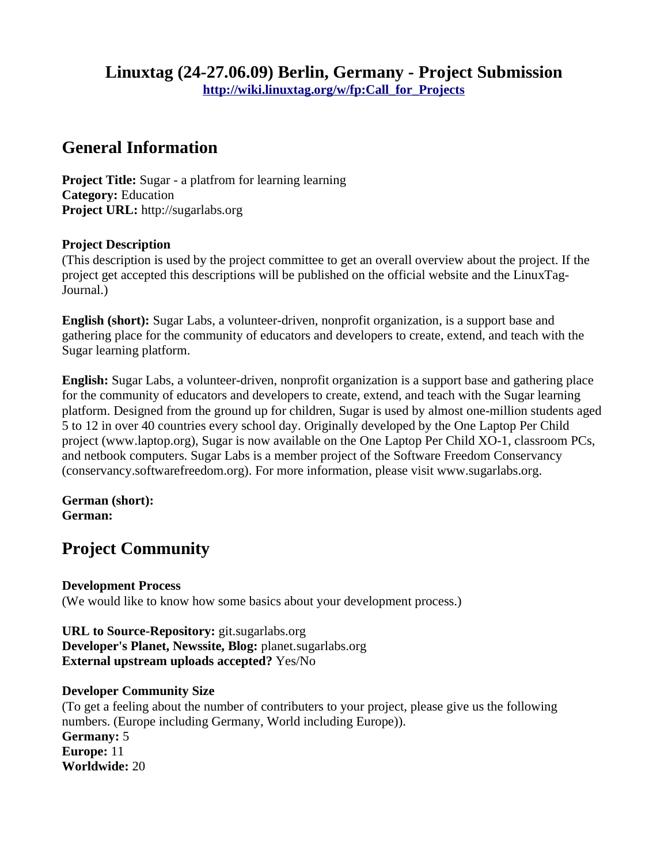# **Linuxtag (24-27.06.09) Berlin, Germany - Project Submission [http://wiki.linuxtag.org/w/fp:Call\\_for\\_Projects](http://wiki.linuxtag.org/w/fp:Call_for_Projects)**

# **General Information**

**Project Title:** Sugar - a platfrom for learning learning **Category:** Education **Project URL:** http://sugarlabs.org

## **Project Description**

(This description is used by the project committee to get an overall overview about the project. If the project get accepted this descriptions will be published on the official website and the LinuxTag-Journal.)

**English (short):** Sugar Labs, a volunteer-driven, nonprofit organization, is a support base and gathering place for the community of educators and developers to create, extend, and teach with the Sugar learning platform.

**English:** Sugar Labs, a volunteer-driven, nonprofit organization is a support base and gathering place for the community of educators and developers to create, extend, and teach with the Sugar learning platform. Designed from the ground up for children, Sugar is used by almost one-million students aged 5 to 12 in over 40 countries every school day. Originally developed by the One Laptop Per Child project (www.laptop.org), Sugar is now available on the One Laptop Per Child XO-1, classroom PCs, and netbook computers. Sugar Labs is a member project of the Software Freedom Conservancy (conservancy.softwarefreedom.org). For more information, please visit www.sugarlabs.org.

#### **German (short): German:**

# **Project Community**

### **Development Process**

(We would like to know how some basics about your development process.)

#### **URL to Source-Repository:** git.sugarlabs.org **Developer's Planet, Newssite, Blog:** planet.sugarlabs.org **External upstream uploads accepted?** Yes/No

### **Developer Community Size**

(To get a feeling about the number of contributers to your project, please give us the following numbers. (Europe including Germany, World including Europe)). **Germany:** 5 **Europe:** 11 **Worldwide:** 20